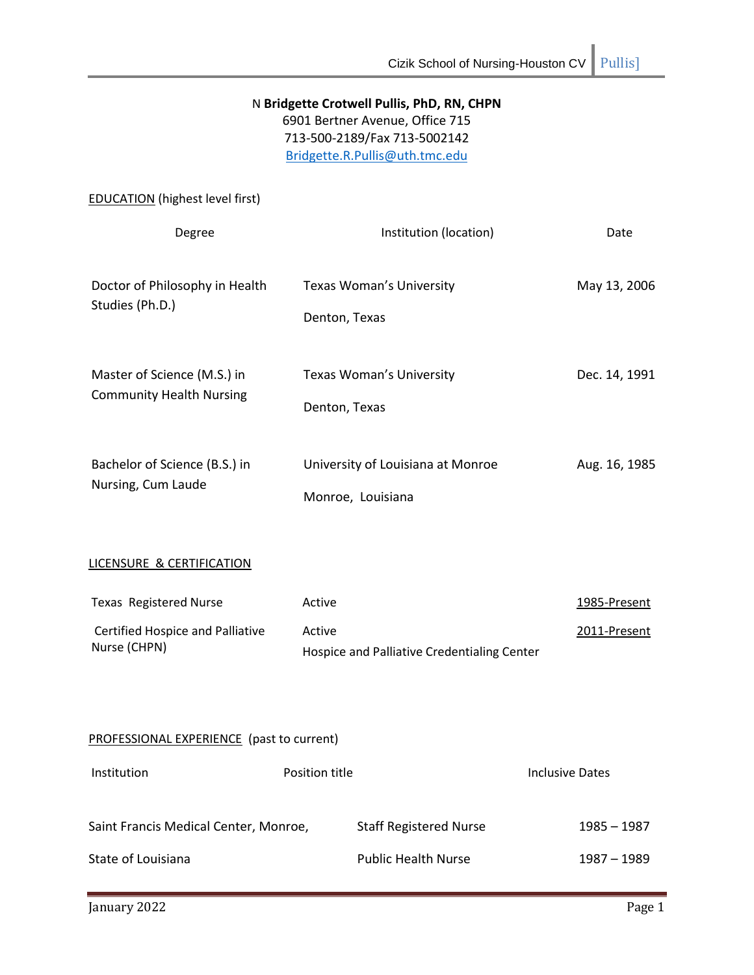# N **Bridgette Crotwell Pullis, PhD, RN, CHPN** 6901 Bertner Avenue, Office 715

713-500-2189/Fax 713-5002142 [Bridgette.R.Pullis@uth.tmc.edu](mailto:Bridgette.R.Pullis@uth.tmc.edu)

EDUCATION (highest level first)

| Degree                                                         | Institution (location)                                 | Date          |
|----------------------------------------------------------------|--------------------------------------------------------|---------------|
| Doctor of Philosophy in Health<br>Studies (Ph.D.)              | Texas Woman's University<br>Denton, Texas              | May 13, 2006  |
| Master of Science (M.S.) in<br><b>Community Health Nursing</b> | Texas Woman's University<br>Denton, Texas              | Dec. 14, 1991 |
| Bachelor of Science (B.S.) in<br>Nursing, Cum Laude            | University of Louisiana at Monroe<br>Monroe, Louisiana | Aug. 16, 1985 |

# LICENSURE & CERTIFICATION

| Texas Registered Nurse           | Active                                      | 1985-Present |
|----------------------------------|---------------------------------------------|--------------|
| Certified Hospice and Palliative | Active                                      | 2011-Present |
| Nurse (CHPN)                     | Hospice and Palliative Credentialing Center |              |

# PROFESSIONAL EXPERIENCE (past to current)

| Institution                           | Position title |                               | Inclusive Dates |
|---------------------------------------|----------------|-------------------------------|-----------------|
| Saint Francis Medical Center, Monroe, |                | <b>Staff Registered Nurse</b> | 1985 – 1987     |
| State of Louisiana                    |                | <b>Public Health Nurse</b>    | 1987 - 1989     |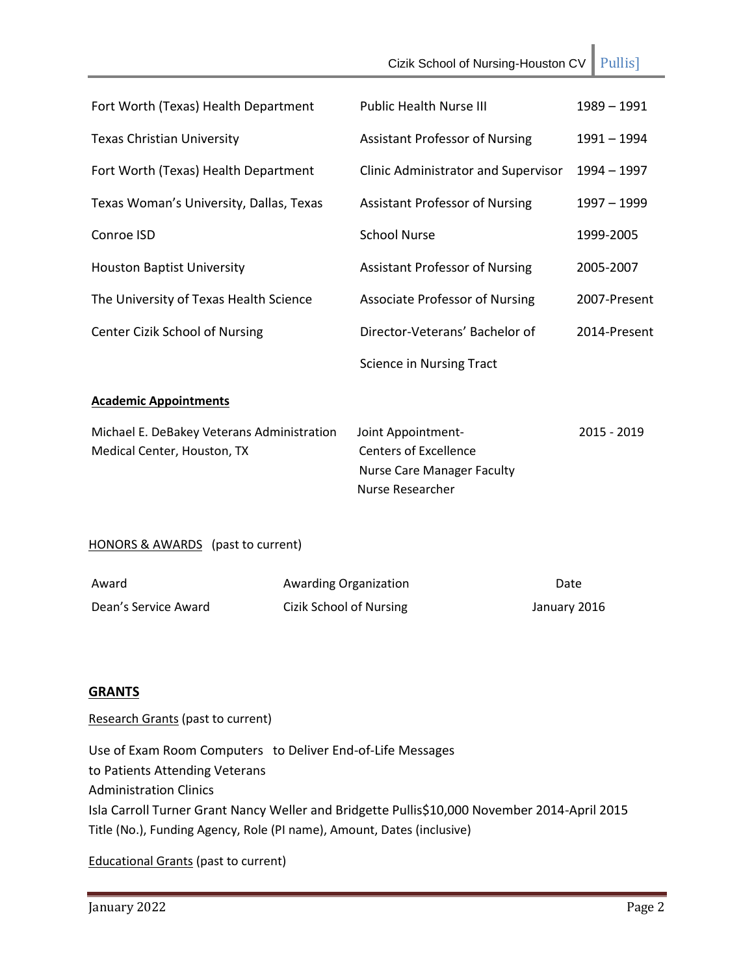Cizik School of Nursing-Houston CV Pullis] Fort Worth (Texas) Health Department Public Health Nurse III 1989 – 1991 Texas Christian University Assistant Professor of Nursing 1991 – 1994 Fort Worth (Texas) Health Department Clinic Administrator and Supervisor 1994 – 1997 Texas Woman's University, Dallas, Texas Conroe ISD Houston Baptist University The University of Texas Health Science Center Cizik School of Nursing Assistant Professor of Nursing School Nurse Assistant Professor of Nursing Associate Professor of Nursing Director-Veterans' Bachelor of Science in Nursing Tract 1997 – 1999 1999-2005 2005-2007 2007-Present 2014-Present **Academic Appointments** Michael E. DeBakey Veterans Administration Joint Appointment- 2015 - 2019 Medical Center, Houston, TX Centers of Excellence Nurse Care Manager Faculty Nurse Researcher HONORS & AWARDS (past to current)

| Award                | <b>Awarding Organization</b> | Date         |
|----------------------|------------------------------|--------------|
| Dean's Service Award | Cizik School of Nursing      | January 2016 |

# **GRANTS**

Research Grants (past to current)

Use of Exam Room Computers to Deliver End-of-Life Messages to Patients Attending Veterans Administration Clinics Isla Carroll Turner Grant Nancy Weller and Bridgette Pullis\$10,000 November 2014-April 2015 Title (No.), Funding Agency, Role (PI name), Amount, Dates (inclusive)

Educational Grants (past to current)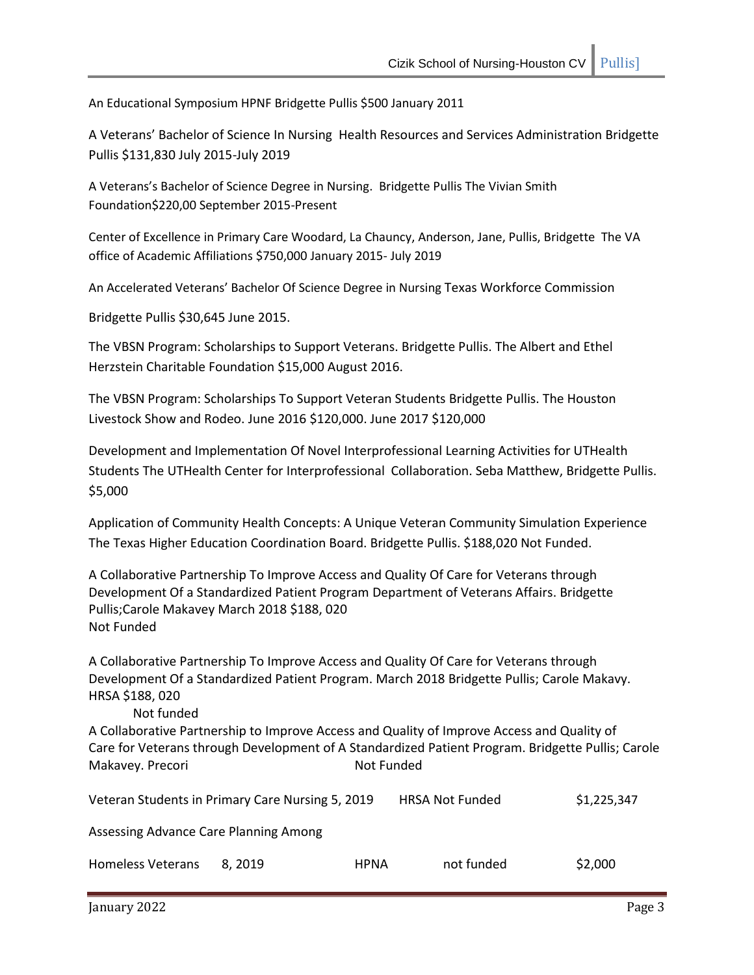An Educational Symposium HPNF Bridgette Pullis \$500 January 2011

A Veterans' Bachelor of Science In Nursing Health Resources and Services Administration Bridgette Pullis \$131,830 July 2015-July 2019

A Veterans's Bachelor of Science Degree in Nursing. Bridgette Pullis The Vivian Smith Foundation\$220,00 September 2015-Present

Center of Excellence in Primary Care Woodard, La Chauncy, Anderson, Jane, Pullis, Bridgette The VA office of Academic Affiliations \$750,000 January 2015- July 2019

An Accelerated Veterans' Bachelor Of Science Degree in Nursing Texas Workforce Commission

Bridgette Pullis \$30,645 June 2015.

The VBSN Program: Scholarships to Support Veterans. Bridgette Pullis. The Albert and Ethel Herzstein Charitable Foundation \$15,000 August 2016.

The VBSN Program: Scholarships To Support Veteran Students Bridgette Pullis. The Houston Livestock Show and Rodeo. June 2016 \$120,000. June 2017 \$120,000

Development and Implementation Of Novel Interprofessional Learning Activities for UTHealth Students The UTHealth Center for Interprofessional Collaboration. Seba Matthew, Bridgette Pullis. \$5,000

Application of Community Health Concepts: A Unique Veteran Community Simulation Experience The Texas Higher Education Coordination Board. Bridgette Pullis. \$188,020 Not Funded.

A Collaborative Partnership To Improve Access and Quality Of Care for Veterans through Development Of a Standardized Patient Program Department of Veterans Affairs. Bridgette Pullis;Carole Makavey March 2018 \$188, 020 Not Funded

A Collaborative Partnership To Improve Access and Quality Of Care for Veterans through Development Of a Standardized Patient Program. March 2018 Bridgette Pullis; Carole Makavy. HRSA \$188, 020

Not funded

A Collaborative Partnership to Improve Access and Quality of Improve Access and Quality of Care for Veterans through Development of A Standardized Patient Program. Bridgette Pullis; Carole Makavey. Precori Not Funded

|                                       | Veteran Students in Primary Care Nursing 5, 2019 |             | <b>HRSA Not Funded</b> | \$1,225,347 |
|---------------------------------------|--------------------------------------------------|-------------|------------------------|-------------|
| Assessing Advance Care Planning Among |                                                  |             |                        |             |
| Homeless Veterans                     | 8.2019                                           | <b>HPNA</b> | not funded             | \$2,000     |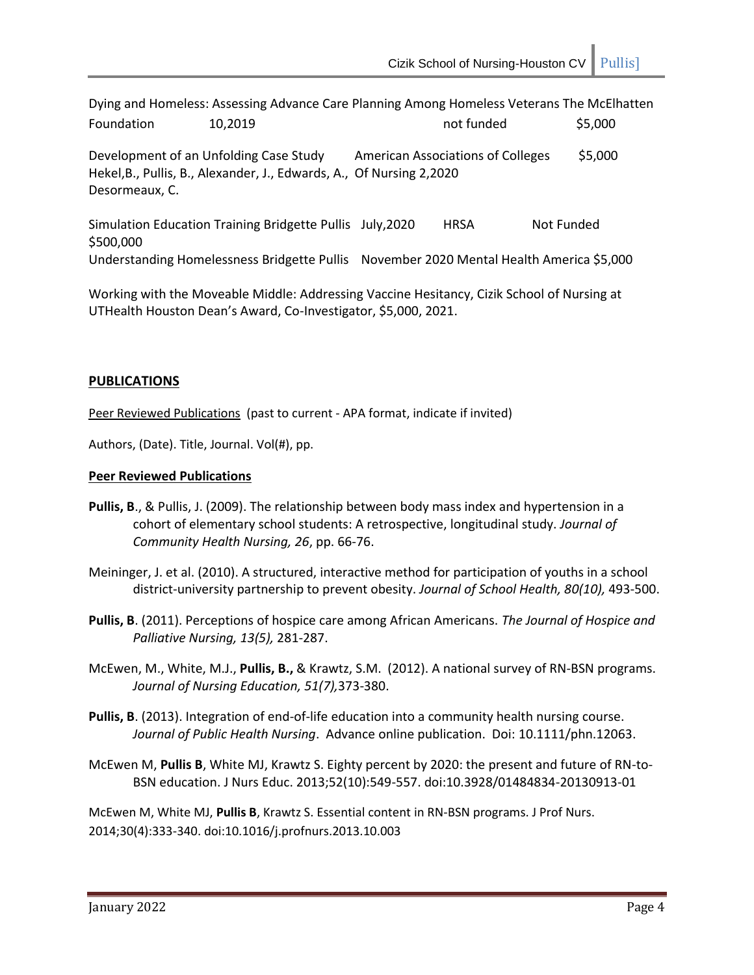Dying and Homeless: Assessing Advance Care Planning Among Homeless Veterans The McElhatten Foundation 10,2019 **not funded** \$5,000 Development of an Unfolding Case Study American Associations of Colleges \$5,000 Hekel,B., Pullis, B., Alexander, J., Edwards, A., Of Nursing 2,2020 Desormeaux, C. Simulation Education Training Bridgette Pullis July, 2020 HRSA Not Funded

\$500,000 Understanding Homelessness Bridgette Pullis November 2020 Mental Health America \$5,000

Working with the Moveable Middle: Addressing Vaccine Hesitancy, Cizik School of Nursing at UTHealth Houston Dean's Award, Co-Investigator, \$5,000, 2021.

# **PUBLICATIONS**

Peer Reviewed Publications (past to current - APA format, indicate if invited)

Authors, (Date). Title, Journal. Vol(#), pp.

## **Peer Reviewed Publications**

- **Pullis, B**., & Pullis, J. (2009). The relationship between body mass index and hypertension in a cohort of elementary school students: A retrospective, longitudinal study. *Journal of Community Health Nursing, 26*, pp. 66-76.
- Meininger, J. et al. (2010). A structured, interactive method for participation of youths in a school district-university partnership to prevent obesity. *Journal of School Health, 80(10),* 493-500.
- **Pullis, B**. (2011). Perceptions of hospice care among African Americans. *The Journal of Hospice and Palliative Nursing, 13(5),* 281-287.
- McEwen, M., White, M.J., **Pullis, B.,** & Krawtz, S.M. (2012). A national survey of RN-BSN programs. *Journal of Nursing Education, 51(7),*373-380.
- **Pullis, B**. (2013). Integration of end-of-life education into a community health nursing course. *Journal of Public Health Nursing*. Advance online publication. Doi: 10.1111/phn.12063.
- McEwen M, **Pullis B**, White MJ, Krawtz S. Eighty percent by 2020: the present and future of RN-to-BSN education. J Nurs Educ. 2013;52(10):549-557. doi:10.3928/01484834-20130913-01

McEwen M, White MJ, **Pullis B**, Krawtz S. Essential content in RN-BSN programs. J Prof Nurs. 2014;30(4):333-340. doi:10.1016/j.profnurs.2013.10.003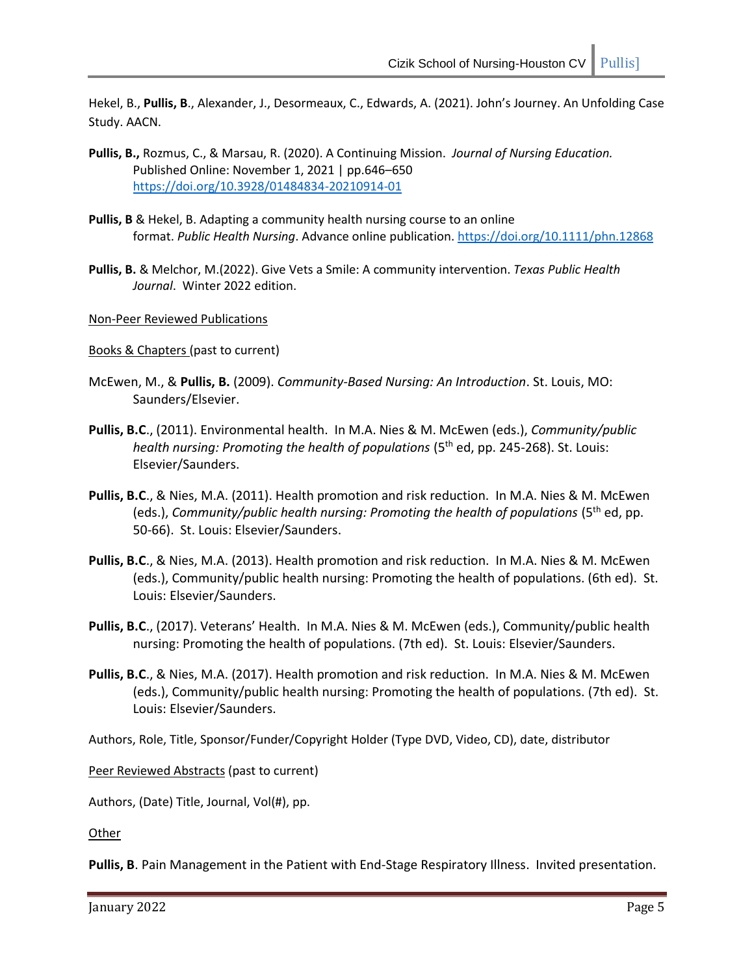Hekel, B., **Pullis, B**., Alexander, J., Desormeaux, C., Edwards, A. (2021). John's Journey. An Unfolding Case Study. AACN.

- **Pullis, B.,** Rozmus, C., & Marsau, R. (2020). A Continuing Mission. *Journal of Nursing Education.* Published Online: November 1, 2021 | pp.646–650 <https://doi.org/10.3928/01484834-20210914-01>
- **Pullis, B** & Hekel, B. Adapting a community health nursing course to an online format. *Public Health Nursing*. Advance online publication[. https://doi.org/10.1111/phn.12868](https://doi.org/10.1111/phn.12868)
- **Pullis, B.** & Melchor, M.(2022). Give Vets a Smile: A community intervention. *Texas Public Health Journal*. Winter 2022 edition.

Non-Peer Reviewed Publications

Books & Chapters (past to current)

- McEwen, M., & **Pullis, B.** (2009). *Community-Based Nursing: An Introduction*. St. Louis, MO: Saunders/Elsevier.
- **Pullis, B.C**., (2011). Environmental health. In M.A. Nies & M. McEwen (eds.), *Community/public health nursing: Promoting the health of populations* (5<sup>th</sup> ed, pp. 245-268). St. Louis: Elsevier/Saunders.
- **Pullis, B.C**., & Nies, M.A. (2011). Health promotion and risk reduction. In M.A. Nies & M. McEwen (eds.), *Community/public health nursing: Promoting the health of populations* (5th ed, pp. 50-66). St. Louis: Elsevier/Saunders.
- **Pullis, B.C**., & Nies, M.A. (2013). Health promotion and risk reduction. In M.A. Nies & M. McEwen (eds.), Community/public health nursing: Promoting the health of populations. (6th ed). St. Louis: Elsevier/Saunders.
- **Pullis, B.C**., (2017). Veterans' Health. In M.A. Nies & M. McEwen (eds.), Community/public health nursing: Promoting the health of populations. (7th ed). St. Louis: Elsevier/Saunders.
- **Pullis, B.C**., & Nies, M.A. (2017). Health promotion and risk reduction. In M.A. Nies & M. McEwen (eds.), Community/public health nursing: Promoting the health of populations. (7th ed). St. Louis: Elsevier/Saunders.

Authors, Role, Title, Sponsor/Funder/Copyright Holder (Type DVD, Video, CD), date, distributor

Peer Reviewed Abstracts (past to current)

Authors, (Date) Title, Journal, Vol(#), pp.

Other

**Pullis, B**. Pain Management in the Patient with End-Stage Respiratory Illness. Invited presentation.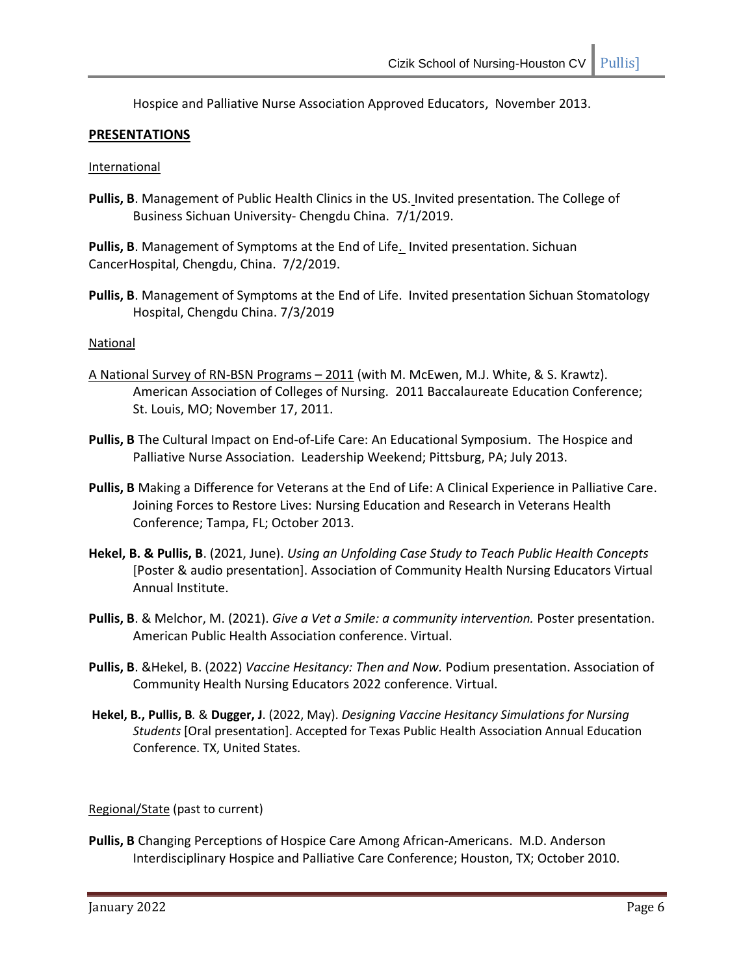Hospice and Palliative Nurse Association Approved Educators, November 2013.

# **PRESENTATIONS**

#### International

**Pullis, B**. Management of Public Health Clinics in the US. Invited presentation. The College of Business Sichuan University- Chengdu China. 7/1/2019.

**Pullis, B**. Management of Symptoms at the End of Life. Invited presentation. Sichuan CancerHospital, Chengdu, China. 7/2/2019.

**Pullis, B**. Management of Symptoms at the End of Life. Invited presentation Sichuan Stomatology Hospital, Chengdu China. 7/3/2019

## **National**

- A National Survey of RN-BSN Programs 2011 (with M. McEwen, M.J. White, & S. Krawtz). American Association of Colleges of Nursing. 2011 Baccalaureate Education Conference; St. Louis, MO; November 17, 2011.
- **Pullis, B** The Cultural Impact on End-of-Life Care: An Educational Symposium. The Hospice and Palliative Nurse Association. Leadership Weekend; Pittsburg, PA; July 2013.
- **Pullis, B** Making a Difference for Veterans at the End of Life: A Clinical Experience in Palliative Care. Joining Forces to Restore Lives: Nursing Education and Research in Veterans Health Conference; Tampa, FL; October 2013.
- **Hekel, B. & Pullis, B**. (2021, June). *Using an Unfolding Case Study to Teach Public Health Concepts*  [Poster & audio presentation]. Association of Community Health Nursing Educators Virtual Annual Institute.
- **Pullis, B**. & Melchor, M. (2021). *Give a Vet a Smile: a community intervention.* Poster presentation. American Public Health Association conference. Virtual.
- **Pullis, B**. &Hekel, B. (2022) *Vaccine Hesitancy: Then and Now.* Podium presentation. Association of Community Health Nursing Educators 2022 conference. Virtual.
- **Hekel, B***.***, Pullis, B***.* & **Dugger, J**. (2022, May). *Designing Vaccine Hesitancy Simulations for Nursing Students* [Oral presentation]. Accepted for Texas Public Health Association Annual Education Conference. TX, United States.

Regional/State (past to current)

**Pullis, B** Changing Perceptions of Hospice Care Among African-Americans. M.D. Anderson Interdisciplinary Hospice and Palliative Care Conference; Houston, TX; October 2010.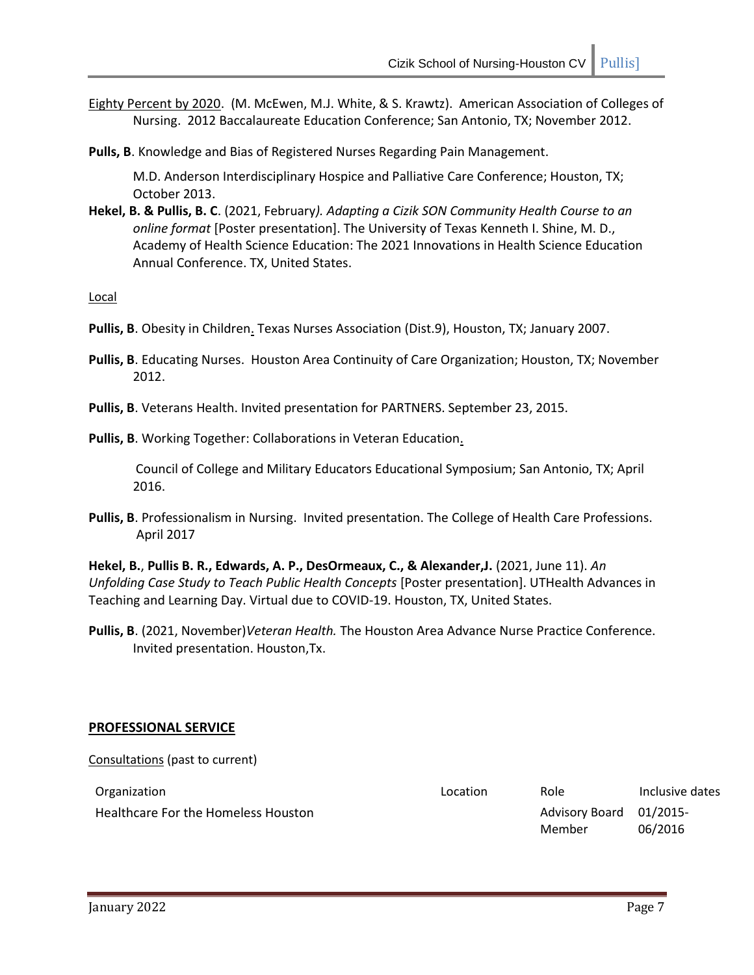- Eighty Percent by 2020. (M. McEwen, M.J. White, & S. Krawtz). American Association of Colleges of Nursing. 2012 Baccalaureate Education Conference; San Antonio, TX; November 2012.
- **Pulls, B**. Knowledge and Bias of Registered Nurses Regarding Pain Management.

M.D. Anderson Interdisciplinary Hospice and Palliative Care Conference; Houston, TX; October 2013.

**Hekel, B. & Pullis, B. C**. (2021, February*). Adapting a Cizik SON Community Health Course to an online format* [Poster presentation]. The University of Texas Kenneth I. Shine, M. D., Academy of Health Science Education: The 2021 Innovations in Health Science Education Annual Conference. TX, United States.

Local

- **Pullis, B**. Obesity in Children. Texas Nurses Association (Dist.9), Houston, TX; January 2007.
- **Pullis, B**. Educating Nurses. Houston Area Continuity of Care Organization; Houston, TX; November 2012.
- **Pullis, B**. Veterans Health. Invited presentation for PARTNERS. September 23, 2015.

## Pullis, B. Working Together: Collaborations in Veteran Education.

Council of College and Military Educators Educational Symposium; San Antonio, TX; April 2016.

**Pullis, B**. Professionalism in Nursing. Invited presentation. The College of Health Care Professions. April 2017

**Hekel, B.**, **Pullis B. R., Edwards, A. P., DesOrmeaux, C., & Alexander,J.** (2021, June 11). *An Unfolding Case Study to Teach Public Health Concepts* [Poster presentation]. UTHealth Advances in Teaching and Learning Day. Virtual due to COVID-19. Houston, TX, United States.

**Pullis, B**. (2021, November)*Veteran Health.* The Houston Area Advance Nurse Practice Conference. Invited presentation. Houston,Tx.

#### **PROFESSIONAL SERVICE**

Consultations (past to current)

| Organization                        | Location | Role                              | Inclusive dates |
|-------------------------------------|----------|-----------------------------------|-----------------|
| Healthcare For the Homeless Houston |          | Advisory Board 01/2015-<br>Member | 06/2016         |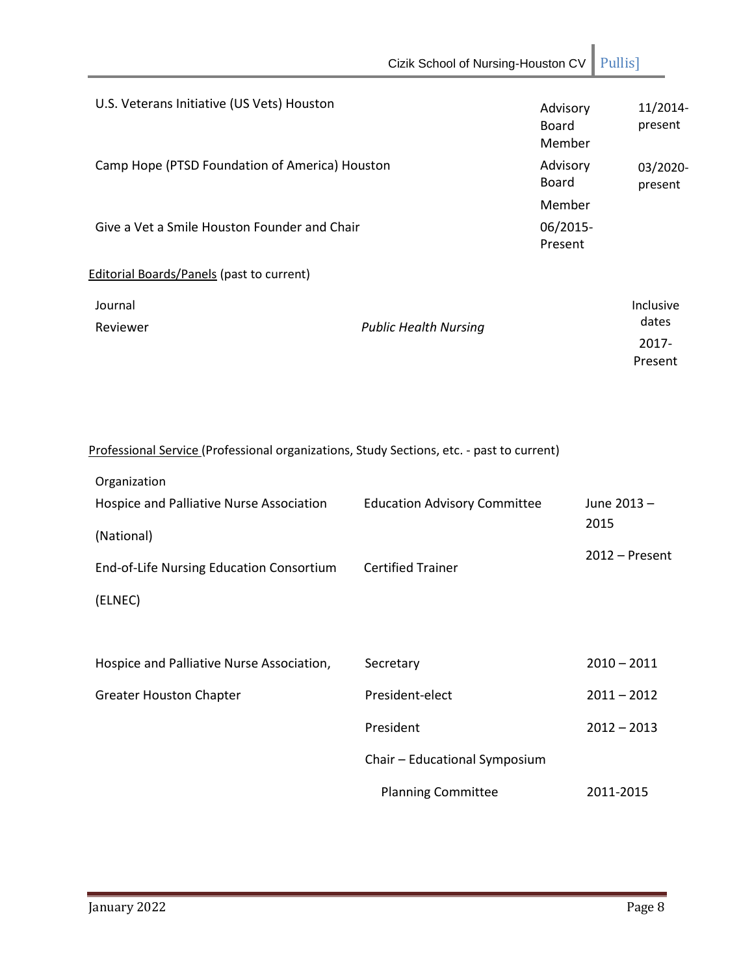|                                                                                                           | Cizik School of Nursing-Houston CV  |                                    | Pullis]                                |
|-----------------------------------------------------------------------------------------------------------|-------------------------------------|------------------------------------|----------------------------------------|
| U.S. Veterans Initiative (US Vets) Houston                                                                |                                     | Advisory<br><b>Board</b><br>Member | 11/2014-<br>present                    |
| Camp Hope (PTSD Foundation of America) Houston                                                            |                                     | Advisory<br><b>Board</b>           | 03/2020-<br>present                    |
| Give a Vet a Smile Houston Founder and Chair                                                              |                                     | Member<br>06/2015-<br>Present      |                                        |
| <b>Editorial Boards/Panels (past to current)</b>                                                          |                                     |                                    |                                        |
| Journal<br>Reviewer                                                                                       | <b>Public Health Nursing</b>        |                                    | Inclusive<br>dates<br>2017-<br>Present |
| Professional Service (Professional organizations, Study Sections, etc. - past to current)<br>Organization |                                     |                                    |                                        |
| Hospice and Palliative Nurse Association<br>(National)                                                    | <b>Education Advisory Committee</b> |                                    | June 2013-<br>2015                     |
| End-of-Life Nursing Education Consortium<br>(ELNEC)                                                       | <b>Certified Trainer</b>            |                                    | $2012$ – Present                       |
| Hospice and Palliative Nurse Association,                                                                 | Secretary                           |                                    | $2010 - 2011$                          |
| <b>Greater Houston Chapter</b>                                                                            | President-elect                     |                                    | $2011 - 2012$                          |
|                                                                                                           | President                           |                                    | $2012 - 2013$                          |
|                                                                                                           | Chair - Educational Symposium       |                                    |                                        |
|                                                                                                           | <b>Planning Committee</b>           |                                    | 2011-2015                              |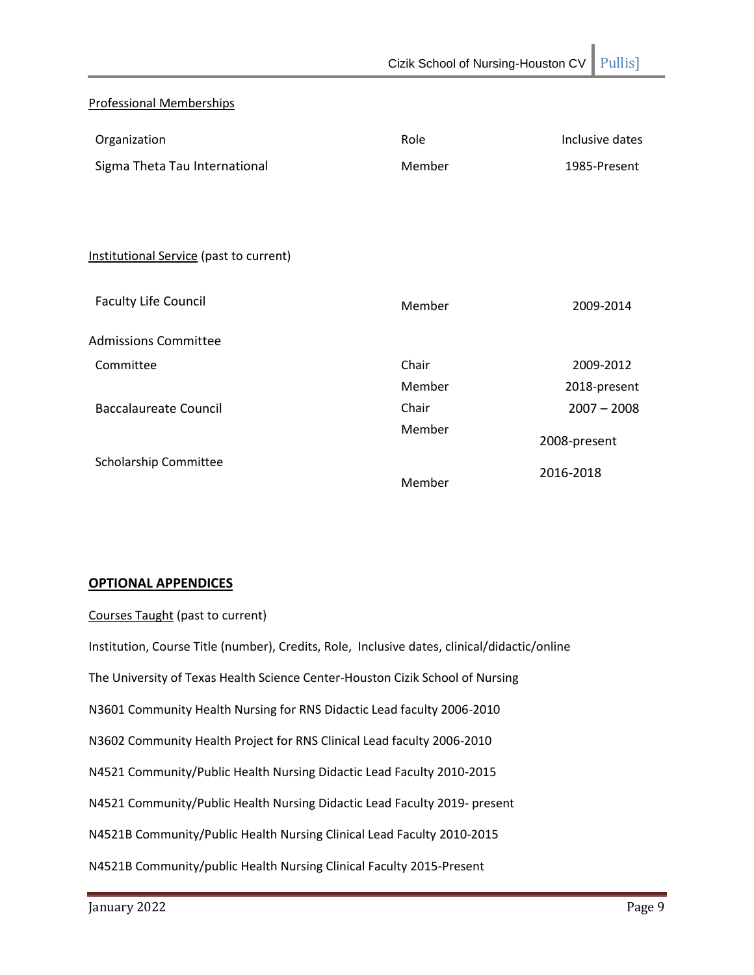# Professional Memberships

| Organization                            | Role   | Inclusive dates |
|-----------------------------------------|--------|-----------------|
| Sigma Theta Tau International           | Member | 1985-Present    |
|                                         |        |                 |
|                                         |        |                 |
| Institutional Service (past to current) |        |                 |
| <b>Faculty Life Council</b>             | Member | 2009-2014       |
| <b>Admissions Committee</b>             |        |                 |
| Committee                               | Chair  | 2009-2012       |
|                                         | Member | 2018-present    |
| <b>Baccalaureate Council</b>            | Chair  | $2007 - 2008$   |
|                                         | Member | 2008-present    |
| Scholarship Committee                   | Member | 2016-2018       |

#### **OPTIONAL APPENDICES**

## Courses Taught (past to current)

Institution, Course Title (number), Credits, Role, Inclusive dates, clinical/didactic/online The University of Texas Health Science Center-Houston Cizik School of Nursing N3601 Community Health Nursing for RNS Didactic Lead faculty 2006-2010 N3602 Community Health Project for RNS Clinical Lead faculty 2006-2010 N4521 Community/Public Health Nursing Didactic Lead Faculty 2010-2015 N4521 Community/Public Health Nursing Didactic Lead Faculty 2019- present N4521B Community/Public Health Nursing Clinical Lead Faculty 2010-2015 N4521B Community/public Health Nursing Clinical Faculty 2015-Present